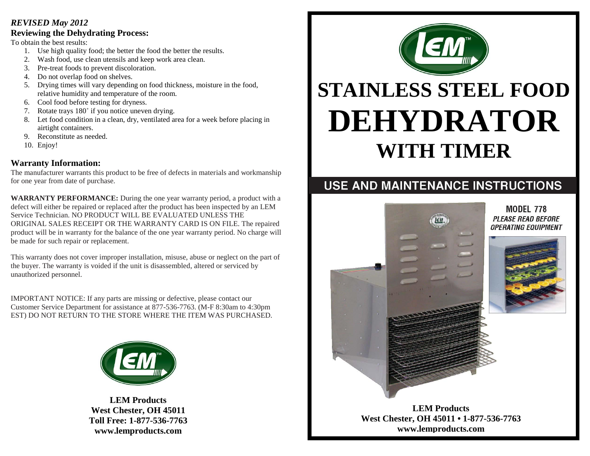#### *REVISED May 2012*

#### **Reviewing the Dehydrating Process:**

To obtain the best results:

- 1. Use high quality food; the better the food the better the results.
- 2. Wash food, use clean utensils and keep work area clean.
- 3. Pre-treat foods to prevent discoloration.
- 4. Do not overlap food on shelves.
- 5. Drying times will vary depending on food thickness, moisture in the food, relative humidity and temperature of the room.
- 6. Cool food before testing for dryness.
- 7. Rotate trays 180˚ if you notice uneven drying.
- 8. Let food condition in a clean, dry, ventilated area for a week before placing in airtight containers.
- 9. Reconstitute as needed.
- 10. Enjoy!

## **Warranty Information:**

The manufacturer warrants this product to be free of defects in materials and workmanship for one year from date of purchase.

**WARRANTY PERFORMANCE:** During the one year warranty period, a product with a defect will either be repaired or replaced after the product has been inspected by an LEM Service Technician. NO PRODUCT WILL BE EVALUATED UNLESS THE ORIGINAL SALES RECEIPT OR THE WARRANTY CARD IS ON FILE. The repaired product will be in warranty for the balance of the one year warranty period. No charge will be made for such repair or replacement.

This warranty does not cover improper installation, misuse, abuse or neglect on the part of the buyer. The warranty is voided if the unit is disassembled, altered or serviced by unauthorized personnel.

IMPORTANT NOTICE: If any parts are missing or defective, please contact our Customer Service Department for assistance at 877-536-7763. (M-F 8:30am to 4:30pm EST) DO NOT RETURN TO THE STORE WHERE THE ITEM WAS PURCHASED.



**LEM Products West Chester, OH 45011 Toll Free: 1-877-536-7763 www.lemproducts.com**



# **STAINLESS STEEL FOOD DEHYDRATOR WITH TIMER**

# USE AND MAINTENANCE INSTRUCTIONS

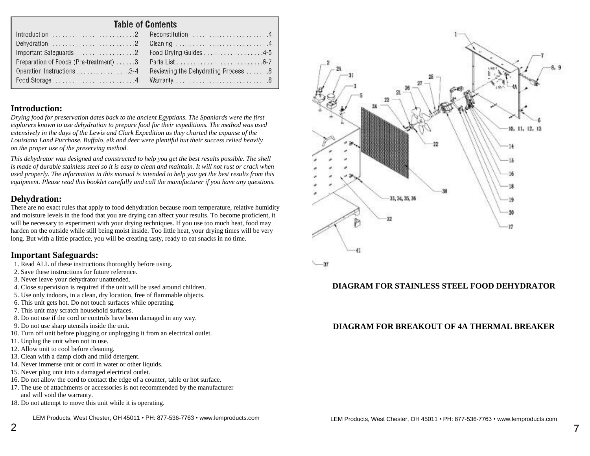# Table of Contents

|                                        | Food Drying Guides 4-5              |  |  |  |  |
|----------------------------------------|-------------------------------------|--|--|--|--|
| Preparation of Foods (Pre-treatment) 3 |                                     |  |  |  |  |
|                                        | Reviewing the Dehydrating Process 8 |  |  |  |  |
|                                        |                                     |  |  |  |  |
|                                        |                                     |  |  |  |  |

## **Introduction:**

*Drying food for preservation dates back to the ancient Egyptians. The Spaniards were the first explorers known to use dehydration to prepare food for their expeditions. The method was used extensively in the days of the Lewis and Clark Expedition as they charted the expanse of the Louisiana Land Purchase. Buffalo, elk and deer were plentiful but their success relied heavily on the proper use of the preserving method.*

*This dehydrator was designed and constructed to help you get the best results possible. The shell is made of durable stainless steel so it is easy to clean and maintain. It will not rust or crack when used properly. The information in this manual is intended to help you get the best results from this equipment. Please read this booklet carefully and call the manufacturer if you have any questions.*

#### **Dehydration:**

There are no exact rules that apply to food dehydration because room temperature, relative humidity and moisture levels in the food that you are drying can affect your results. To become proficient, it will be necessary to experiment with your drying techniques. If you use too much heat, food may harden on the outside while still being moist inside. Too little heat, your drying times will be very long. But with a little practice, you will be creating tasty, ready to eat snacks in no time.

#### **Important Safeguards:**

- 1. Read ALL of these instructions thoroughly before using.
- 2. Save these instructions for future reference.
- 3. Never leave your dehydrator unattended.
- 4. Close supervision is required if the unit will be used around children.
- 5. Use only indoors, in a clean, dry location, free of flammable objects.
- 6. This unit gets hot. Do not touch surfaces while operating.
- 7. This unit may scratch household surfaces.
- 8. Do not use if the cord or controls have been damaged in any way.
- 9. Do not use sharp utensils inside the unit.
- 10. Turn off unit before plugging or unplugging it from an electrical outlet.
- 11. Unplug the unit when not in use.
- 12. Allow unit to cool before cleaning.
- 13. Clean with a damp cloth and mild detergent.
- 14. Never immerse unit or cord in water or other liquids.
- 15. Never plug unit into a damaged electrical outlet.
- 16. Do not allow the cord to contact the edge of a counter, table or hot surface.
- 17. The use of attachments or accessories is not recommended by the manufacturer and will void the warranty.
- 18. Do not attempt to move this unit while it is operating.

LEM Products, West Chester, OH 45011 • PH: 877-536-7763 • [www.lemproducts.com](http://www.lemproducts.com/)



## **DIAGRAM FOR STAINLESS STEEL FOOD DEHYDRATOR**

## **DIAGRAM FOR BREAKOUT OF 4A THERMAL BREAKER**

7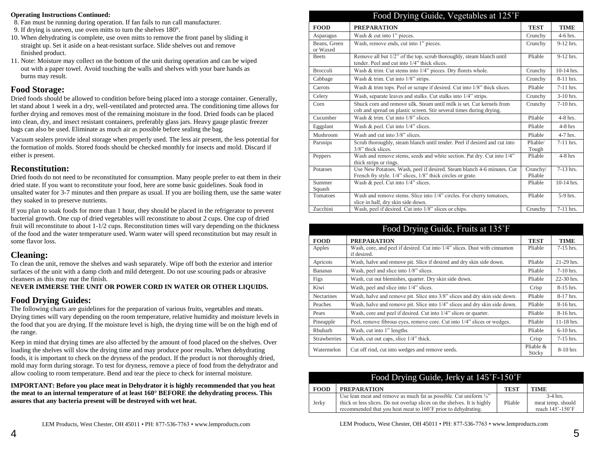#### **Operating Instructions Continued:**

- 8. Fan must be running during operation. If fan fails to run call manufacturer.
- 9. If drying is uneven, use oven mitts to turn the shelves 180°.
- 10. When dehydrating is complete, use oven mitts to remove the front panel by sliding it straight up. Set it aside on a heat-resistant surface. Slide shelves out and remove finished product.
- 11. Note: Moisture may collect on the bottom of the unit during operation and can be wiped out with a paper towel. Avoid touching the walls and shelves with your bare hands as burns may result.

#### **Food Storage:**

Dried foods should be allowed to condition before being placed into a storage container. Generally, let stand about 1 week in a dry, well-ventilated and protected area. The conditioning time allows for further drying and removes most of the remaining moisture in the food. Dried foods can be placed into clean, dry, and insect resistant containers, preferably glass jars. Heavy gauge plastic freezer bags can also be used. Eliminate as much air as possible before sealing the bag.

Vacuum sealers provide ideal storage when properly used. The less air present, the less potential for the formation of molds. Stored foods should be checked monthly for insects and mold. Discard if either is present.

#### **Reconstitution:**

Dried foods do not need to be reconstituted for consumption. Many people prefer to eat them in their dried state. If you want to reconstitute your food, here are some basic guidelines. Soak food in unsalted water for 3-7 minutes and then prepare as usual. If you are boiling them, use the same water they soaked in to preserve nutrients.

If you plan to soak foods for more than 1 hour, they should be placed in the refrigerator to prevent bacterial growth. One cup of dried vegetables will reconstitute to about 2 cups. One cup of dried fruit will reconstitute to about 1-1/2 cups. Reconstitution times will vary depending on the thickness of the food and the water temperature used. Warm water will speed reconstitution but may result in some flavor loss.

#### **Cleaning:**

To clean the unit, remove the shelves and wash separately. Wipe off both the exterior and interior surfaces of the unit with a damp cloth and mild detergent. Do not use scouring pads or abrasive cleansers as this may mar the finish.

#### **NEVER IMMERSE THE UNIT OR POWER CORD IN WATER OR OTHER LIQUIDS.**

#### **Food Drying Guides:**

The following charts are guidelines for the preparation of various fruits, vegetables and meats. Drying times will vary depending on the room temperature, relative humidity and moisture levels in the food that you are drying. If the moisture level is high, the drying time will be on the high end of the range.

Keep in mind that drying times are also affected by the amount of food placed on the shelves. Over loading the shelves will slow the drying time and may produce poor results. When dehydrating foods, it is important to check on the dryness of the product. If the product is not thoroughly dried, mold may form during storage. To test for dryness, remove a piece of food from the dehydrator and allow cooling to room temperature. Bend and tear the piece to check for internal moisture.

**IMPORTANT: Before you place meat in Dehydrator it is highly recommended that you heat the meat to an internal temperature of at least 160° BEFORE the dehydrating process. This assures that any bacteria present will be destroyed with wet heat.**

| Food Drying Guide, Vegetables at 125°F                                                                                 |                                                                                                                                              |                     |             |  |  |
|------------------------------------------------------------------------------------------------------------------------|----------------------------------------------------------------------------------------------------------------------------------------------|---------------------|-------------|--|--|
| <b>FOOD</b>                                                                                                            | <b>PREPARATION</b>                                                                                                                           | <b>TEST</b>         | <b>TIME</b> |  |  |
| Asparagus                                                                                                              | Wash & cut into 1" pieces.                                                                                                                   | Crunchy             | $4-6$ hrs.  |  |  |
| Beans, Green<br>or Waxed                                                                                               | Wash, remove ends, cut into 1" pieces.                                                                                                       | Crunchy             | 9-12 hrs.   |  |  |
| <b>Beets</b>                                                                                                           | Remove all but 1/2" of the top, scrub thoroughly, steam blanch until<br>tender. Peel and cut into 1/4" thick slices.                         | Pliable             | 9-12 hrs.   |  |  |
| <b>Broccoli</b>                                                                                                        | Wash & trim. Cut stems into 1/4" pieces. Dry florets whole.                                                                                  |                     |             |  |  |
| Cabbage                                                                                                                | Wash & trim. Cut into 1/8" strips.                                                                                                           |                     | 8-11 hrs.   |  |  |
| Carrots                                                                                                                | Wash & trim tops. Peel or scrape if desired. Cut into 1/8" thick slices.                                                                     |                     |             |  |  |
| Celery                                                                                                                 | Wash, separate leaves and stalks. Cut stalks into 1/4" strips.                                                                               |                     |             |  |  |
| Corn                                                                                                                   | Shuck corn and remove silk. Steam until milk is set. Cut kernels from<br>cob and spread on plastic screen. Stir several times during drying. | Crunchy             | 7-10 hrs.   |  |  |
| Cucumber                                                                                                               | Wash & trim. Cut into 1/8" slices.                                                                                                           | Pliable             | $4-8$ hrs.  |  |  |
| Eggplant                                                                                                               | Wash & peel. Cut into 1/4" slices.                                                                                                           |                     | $4-8$ hrs   |  |  |
| Mushroom                                                                                                               | Wash and cut into 3/8" slices.                                                                                                               | Pliable             | $4-7$ hrs.  |  |  |
| Scrub thoroughly, steam blanch until tender. Peel if desired and cut into<br>Parsnips<br>$3/8$ " thick slices.         |                                                                                                                                              | Pliable/<br>Tough   | $7-11$ hrs. |  |  |
| Peppers                                                                                                                | Wash and remove stems, seeds and white section. Pat dry. Cut into 1/4"<br>thick strips or rings.                                             | Pliable             | $4-8$ hrs   |  |  |
| Potatoes                                                                                                               | Use New Potatoes. Wash, peel if desired. Steam blanch 4-6 minutes. Cut<br>French fry style. 1/4" slices, 1/8" thick circles or grate.        | Crunchy/<br>Pliable | 7-13 hrs.   |  |  |
| Summer<br>Squash                                                                                                       | Wash & peel. Cut into 1/4" slices.                                                                                                           | Pliable             | 10-14 hrs.  |  |  |
| Wash and remove stems. Slice into 1/4" circles. For cherry tomatoes,<br>Tomatoes<br>slice in half, dry skin side down. |                                                                                                                                              | Pliable             | $5-9$ hrs.  |  |  |
| Zucchini                                                                                                               | Wash, peel if desired. Cut into 1/8" slices or chips.                                                                                        | Crunchy             | 7-11 hrs.   |  |  |

| Food Drying Guide, Fruits at 135°F                                                    |                                                                                          |                        |              |  |
|---------------------------------------------------------------------------------------|------------------------------------------------------------------------------------------|------------------------|--------------|--|
| <b>FOOD</b>                                                                           | <b>TEST</b>                                                                              | <b>TIME</b>            |              |  |
| Apples                                                                                | Wash, core, and peel if desired. Cut into 1/4" slices. Dust with cinnamon<br>if desired. | Pliable                | $7-15$ hrs.  |  |
| Apricots                                                                              | Wash, halve and remove pit. Slice if desired and dry skin side down.                     |                        | 21-29 hrs.   |  |
| <b>Bananas</b>                                                                        | Wash, peel and slice into 1/8" slices.                                                   |                        | $7-10$ hrs.  |  |
| Figs                                                                                  | Wash, cut out blemishes, quarter. Dry skin side down.                                    | Pliable                | 22-30 hrs.   |  |
| Kiwi                                                                                  | Wash, peel and slice into 1/4" slices.                                                   | Crisp                  | $8-15$ hrs.  |  |
| <b>Nectarines</b>                                                                     | Wash, halve and remove pit. Slice into 3/8" slices and dry skin side down.               | Pliable                | $8-17$ hrs.  |  |
| Wash, halve and remove pit. Slice into 1/4" slices and dry skin side down.<br>Peaches |                                                                                          | Pliable                | $8-16$ hrs.  |  |
| Pears                                                                                 | Wash, core and peel if desired. Cut into 1/4" slices or quarter.                         | Pliable                | $8-16$ hrs.  |  |
| Pineapple                                                                             | Peel, remove fibrous eyes, remove core. Cut into 1/4" slices or wedges.                  | Pliable                | $11-18$ hrs. |  |
| Rhubarb                                                                               | Wash, cut into 1" lengths.                                                               | Pliable                | $6-10$ hrs.  |  |
| <b>Strawberries</b>                                                                   | Wash, cut out caps, slice 1/4" thick.                                                    | Crisp                  | $7-15$ hrs.  |  |
| Watermelon<br>Cut off rind, cut into wedges and remove seeds.                         |                                                                                          | Pliable $\&$<br>Sticky | $8-10$ hrs   |  |

| Food Drying Guide, Jerky at 145°F-150°F |                                                                                                                                                                                                                            |             |                                                     |
|-----------------------------------------|----------------------------------------------------------------------------------------------------------------------------------------------------------------------------------------------------------------------------|-------------|-----------------------------------------------------|
| <b>FOOD</b>                             | <b>PREPARATION</b>                                                                                                                                                                                                         | <b>TEST</b> | <b>TIME</b>                                         |
| Jerky                                   | Use lean meat and remove as much fat as possible. Cut uniform $\frac{1}{4}$ "<br>thick or less slices. Do not overlap slices on the shelves. It is highly<br>recommended that you heat meat to 160°F prior to dehydrating. | Pliable     | $3-4$ hrs.<br>meat temp. should<br>reach 145°-150°F |

#### LEM Products, West Chester, OH 45011 • PH: 877-536-7763 [• www.lemproducts.com](http://www.lemproducts.com/)

LEM Products, West Chester, OH 45011 • PH: 877-536-7763 [• www.lemproducts.com](http://www.lemproducts.com/)